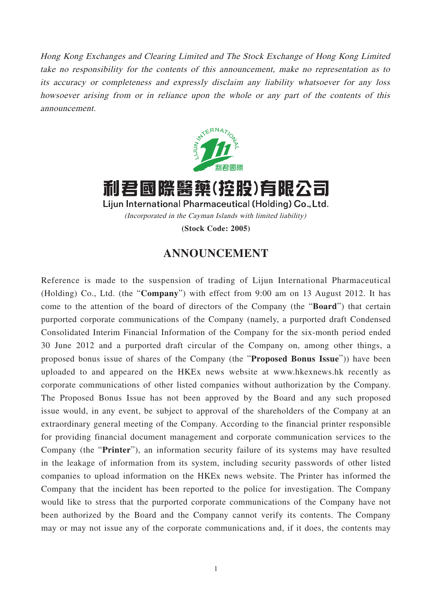Hong Kong Exchanges and Clearing Limited and The Stock Exchange of Hong Kong Limited take no responsibility for the contents of this announcement, make no representation as to its accuracy or completeness and expressly disclaim any liability whatsoever for any loss howsoever arising from or in reliance upon the whole or any part of the contents of this announcement.



利君國際醫藥(控股)有限公司 Lijun International Pharmaceutical (Holding) Co., Ltd. (Incorporated in the Cayman Islands with limited liability)

**(Stock Code: 2005)**

## **ANNOUNCEMENT**

Reference is made to the suspension of trading of Lijun International Pharmaceutical (Holding) Co., Ltd. (the "**Company**") with effect from 9:00 am on 13 August 2012. It has come to the attention of the board of directors of the Company (the "**Board**") that certain purported corporate communications of the Company (namely, a purported draft Condensed Consolidated Interim Financial Information of the Company for the six-month period ended 30 June 2012 and a purported draft circular of the Company on, among other things, a proposed bonus issue of shares of the Company (the "**Proposed Bonus Issue**")) have been uploaded to and appeared on the HKEx news website at www.hkexnews.hk recently as corporate communications of other listed companies without authorization by the Company. The Proposed Bonus Issue has not been approved by the Board and any such proposed issue would, in any event, be subject to approval of the shareholders of the Company at an extraordinary general meeting of the Company. According to the financial printer responsible for providing financial document management and corporate communication services to the Company (the "**Printer**"), an information security failure of its systems may have resulted in the leakage of information from its system, including security passwords of other listed companies to upload information on the HKEx news website. The Printer has informed the Company that the incident has been reported to the police for investigation. The Company would like to stress that the purported corporate communications of the Company have not been authorized by the Board and the Company cannot verify its contents. The Company may or may not issue any of the corporate communications and, if it does, the contents may